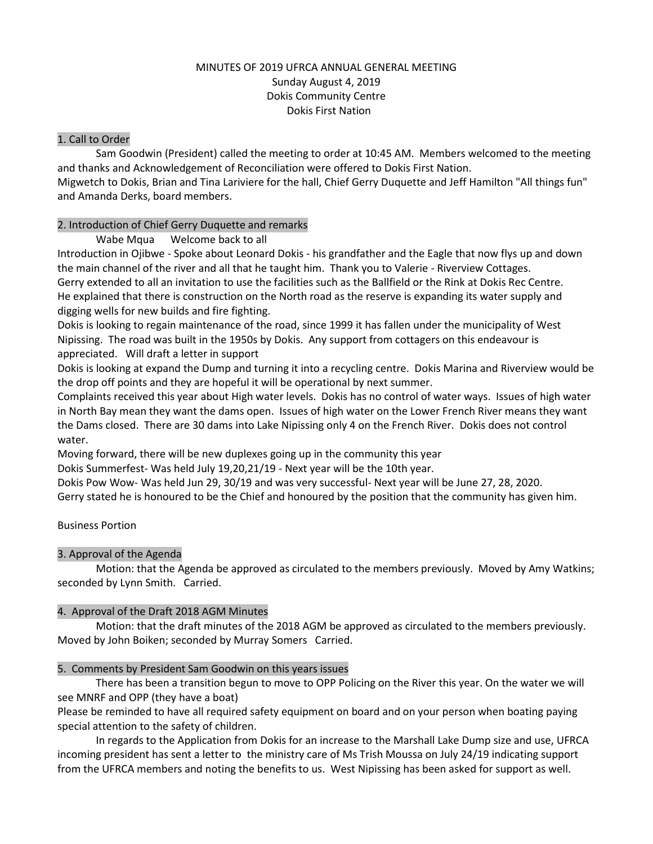## MINUTES OF 2019 UFRCA ANNUAL GENERAL MEETING Sunday August 4, 2019 Dokis Community Centre Dokis First Nation

#### 1. Call to Order

Sam Goodwin (President) called the meeting to order at 10:45 AM. Members welcomed to the meeting and thanks and Acknowledgement of Reconciliation were offered to Dokis First Nation.

Migwetch to Dokis, Brian and Tina Lariviere for the hall, Chief Gerry Duquette and Jeff Hamilton "All things fun" and Amanda Derks, board members.

## 2. Introduction of Chief Gerry Duquette and remarks

Wabe Mqua Welcome back to all

Introduction in Ojibwe - Spoke about Leonard Dokis - his grandfather and the Eagle that now flys up and down the main channel of the river and all that he taught him. Thank you to Valerie - Riverview Cottages. Gerry extended to all an invitation to use the facilities such as the Ballfield or the Rink at Dokis Rec Centre. He explained that there is construction on the North road as the reserve is expanding its water supply and

digging wells for new builds and fire fighting.

Dokis is looking to regain maintenance of the road, since 1999 it has fallen under the municipality of West Nipissing. The road was built in the 1950s by Dokis. Any support from cottagers on this endeavour is appreciated. Will draft a letter in support

Dokis is looking at expand the Dump and turning it into a recycling centre. Dokis Marina and Riverview would be the drop off points and they are hopeful it will be operational by next summer.

Complaints received this year about High water levels. Dokis has no control of water ways. Issues of high water in North Bay mean they want the dams open. Issues of high water on the Lower French River means they want the Dams closed. There are 30 dams into Lake Nipissing only 4 on the French River. Dokis does not control water.

Moving forward, there will be new duplexes going up in the community this year

Dokis Summerfest- Was held July 19,20,21/19 - Next year will be the 10th year.

Dokis Pow Wow- Was held Jun 29, 30/19 and was very successful- Next year will be June 27, 28, 2020.

Gerry stated he is honoured to be the Chief and honoured by the position that the community has given him.

Business Portion

# 3. Approval of the Agenda

Motion: that the Agenda be approved as circulated to the members previously. Moved by Amy Watkins; seconded by Lynn Smith. Carried.

# 4. Approval of the Draft 2018 AGM Minutes

Motion: that the draft minutes of the 2018 AGM be approved as circulated to the members previously. Moved by John Boiken; seconded by Murray Somers Carried.

#### 5. Comments by President Sam Goodwin on this years issues

There has been a transition begun to move to OPP Policing on the River this year. On the water we will see MNRF and OPP (they have a boat)

Please be reminded to have all required safety equipment on board and on your person when boating paying special attention to the safety of children.

In regards to the Application from Dokis for an increase to the Marshall Lake Dump size and use, UFRCA incoming president has sent a letter to the ministry care of Ms Trish Moussa on July 24/19 indicating support from the UFRCA members and noting the benefits to us. West Nipissing has been asked for support as well.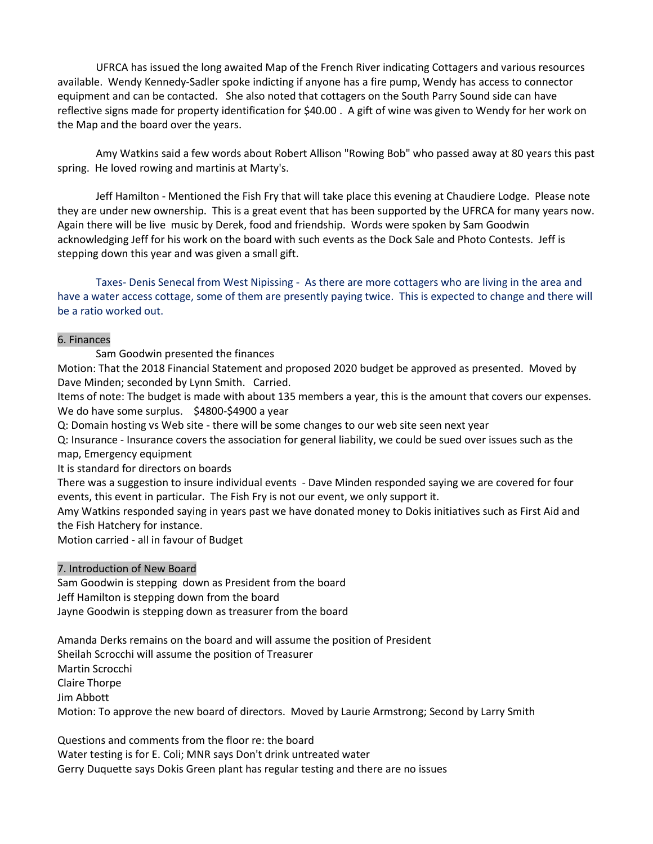UFRCA has issued the long awaited Map of the French River indicating Cottagers and various resources available. Wendy Kennedy-Sadler spoke indicting if anyone has a fire pump, Wendy has access to connector equipment and can be contacted. She also noted that cottagers on the South Parry Sound side can have reflective signs made for property identification for \$40.00 . A gift of wine was given to Wendy for her work on the Map and the board over the years.

Amy Watkins said a few words about Robert Allison "Rowing Bob" who passed away at 80 years this past spring. He loved rowing and martinis at Marty's.

Jeff Hamilton - Mentioned the Fish Fry that will take place this evening at Chaudiere Lodge. Please note they are under new ownership. This is a great event that has been supported by the UFRCA for many years now. Again there will be live music by Derek, food and friendship. Words were spoken by Sam Goodwin acknowledging Jeff for his work on the board with such events as the Dock Sale and Photo Contests. Jeff is stepping down this year and was given a small gift.

Taxes- Denis Senecal from West Nipissing - As there are more cottagers who are living in the area and have a water access cottage, some of them are presently paying twice. This is expected to change and there will be a ratio worked out.

#### 6. Finances

Sam Goodwin presented the finances

Motion: That the 2018 Financial Statement and proposed 2020 budget be approved as presented. Moved by Dave Minden; seconded by Lynn Smith. Carried.

Items of note: The budget is made with about 135 members a year, this is the amount that covers our expenses. We do have some surplus. \$4800-\$4900 a year

Q: Domain hosting vs Web site - there will be some changes to our web site seen next year

Q: Insurance - Insurance covers the association for general liability, we could be sued over issues such as the map, Emergency equipment

It is standard for directors on boards

There was a suggestion to insure individual events - Dave Minden responded saying we are covered for four events, this event in particular. The Fish Fry is not our event, we only support it.

Amy Watkins responded saying in years past we have donated money to Dokis initiatives such as First Aid and the Fish Hatchery for instance.

Motion carried - all in favour of Budget

### 7. Introduction of New Board

Sam Goodwin is stepping down as President from the board Jeff Hamilton is stepping down from the board Jayne Goodwin is stepping down as treasurer from the board

Amanda Derks remains on the board and will assume the position of President Sheilah Scrocchi will assume the position of Treasurer Martin Scrocchi Claire Thorpe Jim Abbott Motion: To approve the new board of directors. Moved by Laurie Armstrong; Second by Larry Smith

Questions and comments from the floor re: the board Water testing is for E. Coli; MNR says Don't drink untreated water Gerry Duquette says Dokis Green plant has regular testing and there are no issues